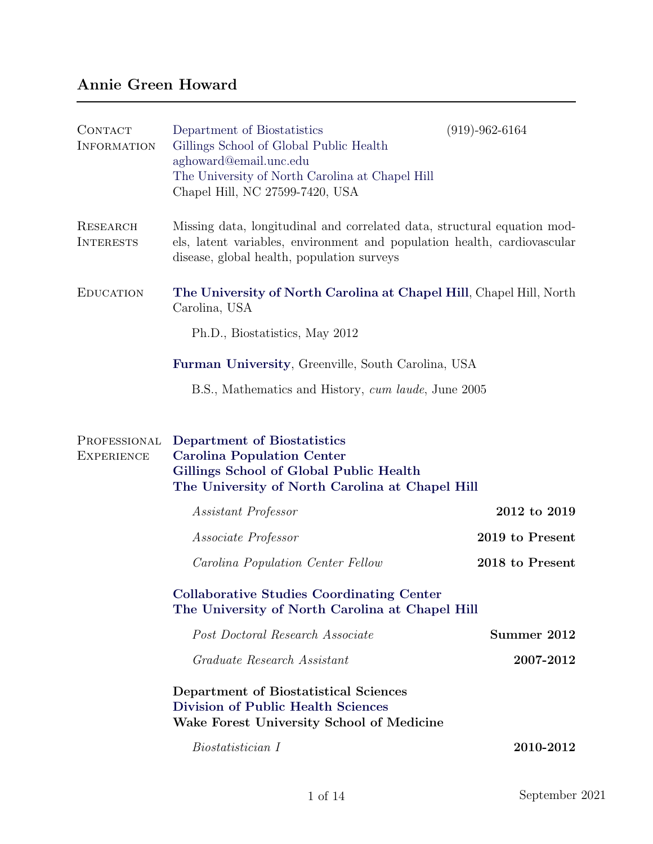## Annie Green Howard

| <b>CONTACT</b><br><b>INFORMATION</b> | Department of Biostatistics<br>Gillings School of Global Public Health<br>aghoward@email.unc.edu<br>The University of North Carolina at Chapel Hill<br>Chapel Hill, NC 27599-7420, USA             | $(919) - 962 - 6164$ |
|--------------------------------------|----------------------------------------------------------------------------------------------------------------------------------------------------------------------------------------------------|----------------------|
| <b>RESEARCH</b><br><b>INTERESTS</b>  | Missing data, longitudinal and correlated data, structural equation mod-<br>els, latent variables, environment and population health, cardiovascular<br>disease, global health, population surveys |                      |
| <b>EDUCATION</b>                     | The University of North Carolina at Chapel Hill, Chapel Hill, North<br>Carolina, USA                                                                                                               |                      |
|                                      | Ph.D., Biostatistics, May 2012                                                                                                                                                                     |                      |
|                                      | <b>Furman University, Greenville, South Carolina, USA</b>                                                                                                                                          |                      |
|                                      | B.S., Mathematics and History, cum laude, June 2005                                                                                                                                                |                      |
| PROFESSIONAL<br><b>EXPERIENCE</b>    | Department of Biostatistics<br><b>Carolina Population Center</b><br>Gillings School of Global Public Health<br>The University of North Carolina at Chapel Hill                                     |                      |
|                                      | Assistant Professor                                                                                                                                                                                | 2012 to 2019         |
|                                      | <i>Associate Professor</i>                                                                                                                                                                         | 2019 to Present      |
|                                      | <i>Carolina Population Center Fellow</i>                                                                                                                                                           | 2018 to Present      |
|                                      | <b>Collaborative Studies Coordinating Center</b><br>The University of North Carolina at Chapel Hill                                                                                                |                      |
|                                      | Post Doctoral Research Associate                                                                                                                                                                   | Summer 2012          |
|                                      | Graduate Research Assistant                                                                                                                                                                        | 2007-2012            |
|                                      | Department of Biostatistical Sciences<br><b>Division of Public Health Sciences</b><br>Wake Forest University School of Medicine                                                                    |                      |
|                                      | Biostatistician I                                                                                                                                                                                  | 2010-2012            |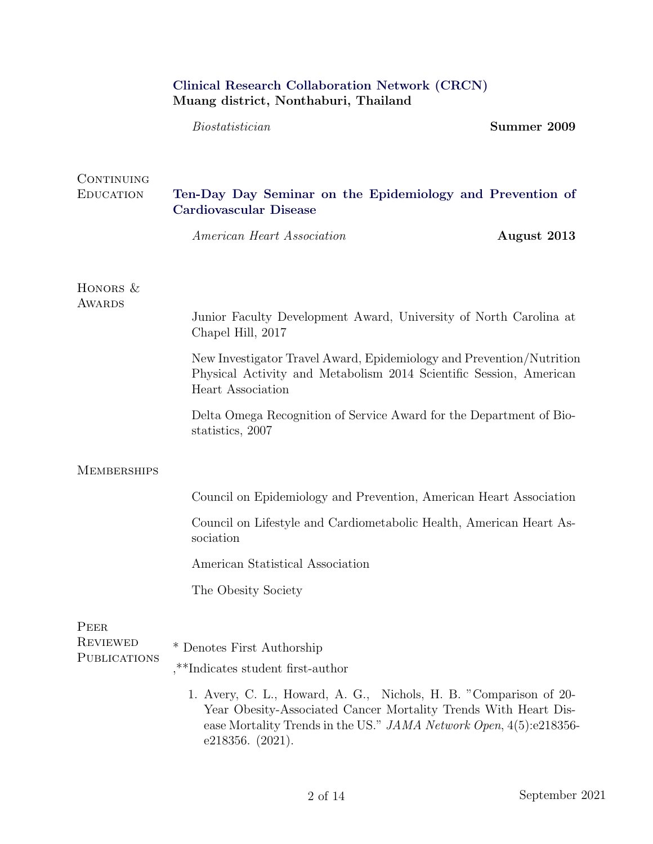|                                        | Clinical Research Collaboration Network (CRCN)<br>Muang district, Nonthaburi, Thailand                                                                                                                                              |             |
|----------------------------------------|-------------------------------------------------------------------------------------------------------------------------------------------------------------------------------------------------------------------------------------|-------------|
|                                        | Biostatistician                                                                                                                                                                                                                     | Summer 2009 |
| CONTINUING<br><b>EDUCATION</b>         | Ten-Day Day Seminar on the Epidemiology and Prevention of<br><b>Cardiovascular Disease</b>                                                                                                                                          |             |
|                                        | American Heart Association                                                                                                                                                                                                          | August 2013 |
| HONORS $&$<br><b>AWARDS</b>            | Junior Faculty Development Award, University of North Carolina at<br>Chapel Hill, 2017                                                                                                                                              |             |
|                                        | New Investigator Travel Award, Epidemiology and Prevention/Nutrition<br>Physical Activity and Metabolism 2014 Scientific Session, American<br>Heart Association                                                                     |             |
|                                        | Delta Omega Recognition of Service Award for the Department of Bio-<br>statistics, 2007                                                                                                                                             |             |
| <b>MEMBERSHIPS</b>                     |                                                                                                                                                                                                                                     |             |
|                                        | Council on Epidemiology and Prevention, American Heart Association                                                                                                                                                                  |             |
|                                        | Council on Lifestyle and Cardiometabolic Health, American Heart As-<br>sociation                                                                                                                                                    |             |
|                                        | American Statistical Association                                                                                                                                                                                                    |             |
|                                        | The Obesity Society                                                                                                                                                                                                                 |             |
| PEER                                   |                                                                                                                                                                                                                                     |             |
| <b>REVIEWED</b><br><b>PUBLICATIONS</b> | Denotes First Authorship                                                                                                                                                                                                            |             |
|                                        | ,**Indicates student first-author                                                                                                                                                                                                   |             |
|                                        | 1. Avery, C. L., Howard, A. G., Nichols, H. B. "Comparison of 20-<br>Year Obesity-Associated Cancer Mortality Trends With Heart Dis-<br>ease Mortality Trends in the US." JAMA Network Open, 4(5):e218356-<br>e $218356.$ $(2021).$ |             |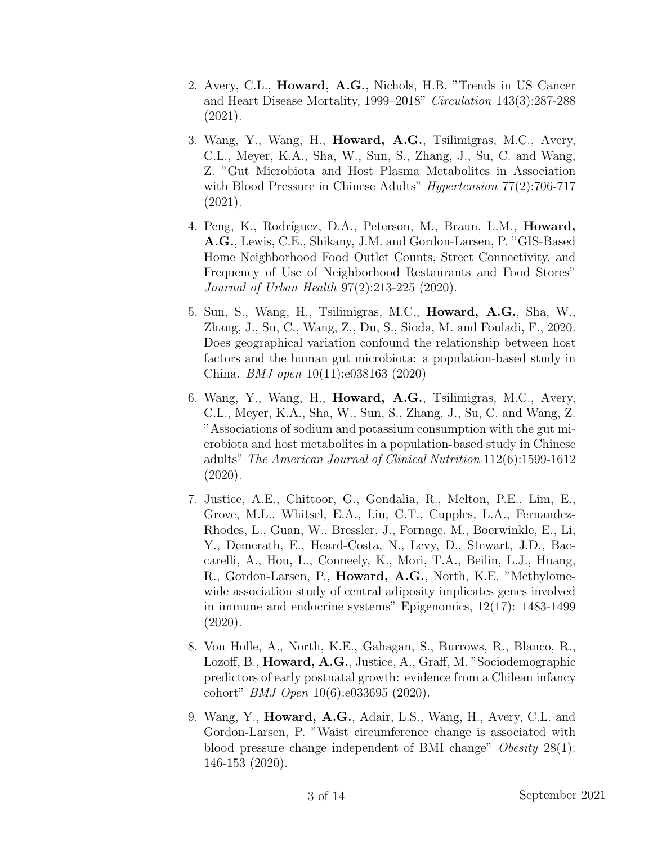- 2. Avery, C.L., Howard, A.G., Nichols, H.B. "Trends in US Cancer and Heart Disease Mortality, 1999–2018" Circulation 143(3):287-288 (2021).
- 3. Wang, Y., Wang, H., Howard, A.G., Tsilimigras, M.C., Avery, C.L., Meyer, K.A., Sha, W., Sun, S., Zhang, J., Su, C. and Wang, Z. "Gut Microbiota and Host Plasma Metabolites in Association with Blood Pressure in Chinese Adults" *Hypertension* 77(2):706-717 (2021).
- 4. Peng, K., Rodríguez, D.A., Peterson, M., Braun, L.M., Howard, A.G., Lewis, C.E., Shikany, J.M. and Gordon-Larsen, P. "GIS-Based Home Neighborhood Food Outlet Counts, Street Connectivity, and Frequency of Use of Neighborhood Restaurants and Food Stores" Journal of Urban Health 97(2):213-225 (2020).
- 5. Sun, S., Wang, H., Tsilimigras, M.C., Howard, A.G., Sha, W., Zhang, J., Su, C., Wang, Z., Du, S., Sioda, M. and Fouladi, F., 2020. Does geographical variation confound the relationship between host factors and the human gut microbiota: a population-based study in China. BMJ open 10(11):e038163 (2020)
- 6. Wang, Y., Wang, H., Howard, A.G., Tsilimigras, M.C., Avery, C.L., Meyer, K.A., Sha, W., Sun, S., Zhang, J., Su, C. and Wang, Z. "Associations of sodium and potassium consumption with the gut microbiota and host metabolites in a population-based study in Chinese adults" The American Journal of Clinical Nutrition 112(6):1599-1612 (2020).
- 7. Justice, A.E., Chittoor, G., Gondalia, R., Melton, P.E., Lim, E., Grove, M.L., Whitsel, E.A., Liu, C.T., Cupples, L.A., Fernandez-Rhodes, L., Guan, W., Bressler, J., Fornage, M., Boerwinkle, E., Li, Y., Demerath, E., Heard-Costa, N., Levy, D., Stewart, J.D., Baccarelli, A., Hou, L., Conneely, K., Mori, T.A., Beilin, L.J., Huang, R., Gordon-Larsen, P., **Howard, A.G.**, North, K.E. "Methylomewide association study of central adiposity implicates genes involved in immune and endocrine systems" Epigenomics, 12(17): 1483-1499 (2020).
- 8. Von Holle, A., North, K.E., Gahagan, S., Burrows, R., Blanco, R., Lozoff, B., Howard, A.G., Justice, A., Graff, M. "Sociodemographic predictors of early postnatal growth: evidence from a Chilean infancy cohort" BMJ Open 10(6):e033695 (2020).
- 9. Wang, Y., Howard, A.G., Adair, L.S., Wang, H., Avery, C.L. and Gordon-Larsen, P. "Waist circumference change is associated with blood pressure change independent of BMI change" Obesity 28(1): 146-153 (2020).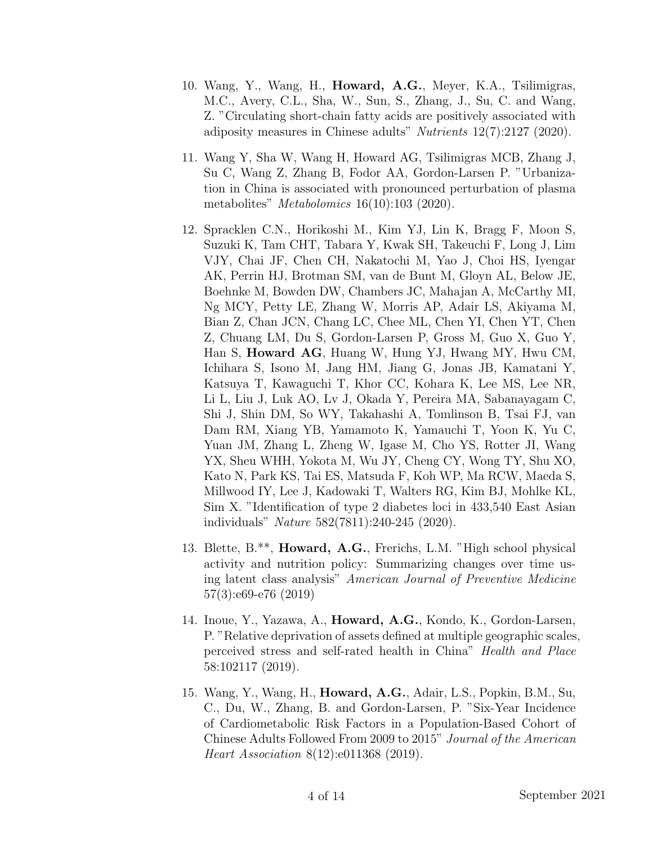- 10. Wang, Y., Wang, H., Howard, A.G., Meyer, K.A., Tsilimigras, M.C., Avery, C.L., Sha, W., Sun, S., Zhang, J., Su, C. and Wang, Z. "Circulating short-chain fatty acids are positively associated with adiposity measures in Chinese adults" *Nutrients* 12(7):2127 (2020).
- 11. Wang Y, Sha W, Wang H, Howard AG, Tsilimigras MCB, Zhang J, Su C, Wang Z, Zhang B, Fodor AA, Gordon-Larsen P. "Urbanization in China is associated with pronounced perturbation of plasma metabolites" *Metabolomics* 16(10):103 (2020).
- 12. Spracklen C.N., Horikoshi M., Kim YJ, Lin K, Bragg F, Moon S, Suzuki K, Tam CHT, Tabara Y, Kwak SH, Takeuchi F, Long J, Lim VJY, Chai JF, Chen CH, Nakatochi M, Yao J, Choi HS, Iyengar AK, Perrin HJ, Brotman SM, van de Bunt M, Gloyn AL, Below JE, Boehnke M, Bowden DW, Chambers JC, Mahajan A, McCarthy MI, Ng MCY, Petty LE, Zhang W, Morris AP, Adair LS, Akiyama M, Bian Z, Chan JCN, Chang LC, Chee ML, Chen YI, Chen YT, Chen Z, Chuang LM, Du S, Gordon-Larsen P, Gross M, Guo X, Guo Y, Han S, Howard AG, Huang W, Hung YJ, Hwang MY, Hwu CM, Ichihara S, Isono M, Jang HM, Jiang G, Jonas JB, Kamatani Y, Katsuya T, Kawaguchi T, Khor CC, Kohara K, Lee MS, Lee NR, Li L, Liu J, Luk AO, Lv J, Okada Y, Pereira MA, Sabanayagam C, Shi J, Shin DM, So WY, Takahashi A, Tomlinson B, Tsai FJ, van Dam RM, Xiang YB, Yamamoto K, Yamauchi T, Yoon K, Yu C, Yuan JM, Zhang L, Zheng W, Igase M, Cho YS, Rotter JI, Wang YX, Sheu WHH, Yokota M, Wu JY, Cheng CY, Wong TY, Shu XO, Kato N, Park KS, Tai ES, Matsuda F, Koh WP, Ma RCW, Maeda S, Millwood IY, Lee J, Kadowaki T, Walters RG, Kim BJ, Mohlke KL, Sim X. "Identification of type 2 diabetes loci in 433,540 East Asian individuals" Nature 582(7811):240-245 (2020).
- 13. Blette, B.\*\*, Howard, A.G., Frerichs, L.M. "High school physical activity and nutrition policy: Summarizing changes over time using latent class analysis" American Journal of Preventive Medicine 57(3):e69-e76 (2019)
- 14. Inoue, Y., Yazawa, A., Howard, A.G., Kondo, K., Gordon-Larsen, P. "Relative deprivation of assets defined at multiple geographic scales, perceived stress and self-rated health in China" Health and Place 58:102117 (2019).
- 15. Wang, Y., Wang, H., Howard, A.G., Adair, L.S., Popkin, B.M., Su, C., Du, W., Zhang, B. and Gordon-Larsen, P. "Six-Year Incidence of Cardiometabolic Risk Factors in a Population-Based Cohort of Chinese Adults Followed From 2009 to 2015" Journal of the American Heart Association 8(12):e011368 (2019).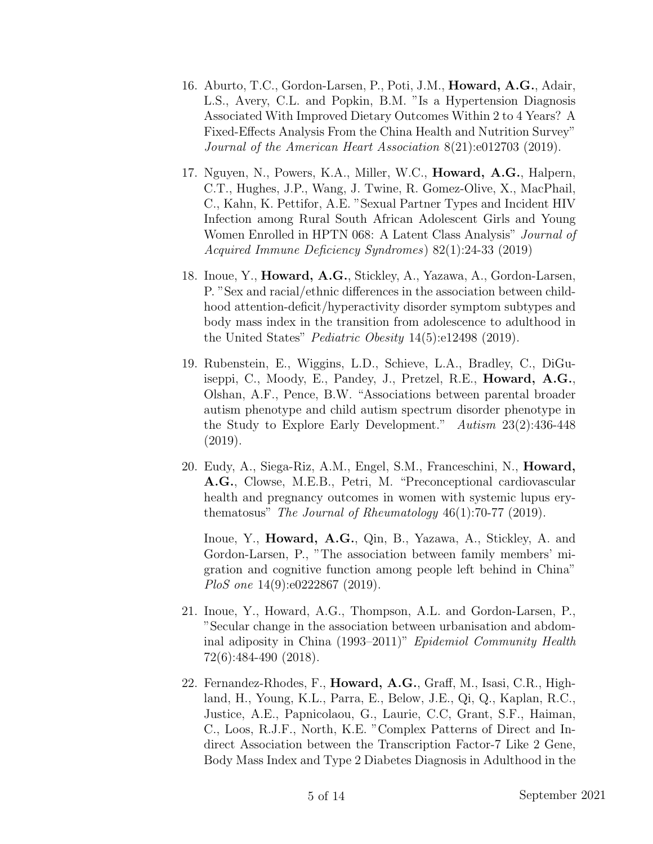- 16. Aburto, T.C., Gordon-Larsen, P., Poti, J.M., Howard, A.G., Adair, L.S., Avery, C.L. and Popkin, B.M. "Is a Hypertension Diagnosis Associated With Improved Dietary Outcomes Within 2 to 4 Years? A Fixed-Effects Analysis From the China Health and Nutrition Survey" Journal of the American Heart Association 8(21):e012703 (2019).
- 17. Nguyen, N., Powers, K.A., Miller, W.C., Howard, A.G., Halpern, C.T., Hughes, J.P., Wang, J. Twine, R. Gomez-Olive, X., MacPhail, C., Kahn, K. Pettifor, A.E. "Sexual Partner Types and Incident HIV Infection among Rural South African Adolescent Girls and Young Women Enrolled in HPTN 068: A Latent Class Analysis" Journal of Acquired Immune Deficiency Syndromes) 82(1):24-33 (2019)
- 18. Inoue, Y., Howard, A.G., Stickley, A., Yazawa, A., Gordon-Larsen, P. "Sex and racial/ethnic differences in the association between childhood attention-deficit/hyperactivity disorder symptom subtypes and body mass index in the transition from adolescence to adulthood in the United States" Pediatric Obesity 14(5):e12498 (2019).
- 19. Rubenstein, E., Wiggins, L.D., Schieve, L.A., Bradley, C., DiGuiseppi, C., Moody, E., Pandey, J., Pretzel, R.E., Howard, A.G., Olshan, A.F., Pence, B.W. "Associations between parental broader autism phenotype and child autism spectrum disorder phenotype in the Study to Explore Early Development." Autism 23(2):436-448 (2019).
- 20. Eudy, A., Siega-Riz, A.M., Engel, S.M., Franceschini, N., Howard, A.G., Clowse, M.E.B., Petri, M. "Preconceptional cardiovascular health and pregnancy outcomes in women with systemic lupus erythematosus" The Journal of Rheumatology  $46(1)$ :70-77 (2019).

Inoue, Y., Howard, A.G., Qin, B., Yazawa, A., Stickley, A. and Gordon-Larsen, P., "The association between family members' migration and cognitive function among people left behind in China" PloS one 14(9):e0222867 (2019).

- 21. Inoue, Y., Howard, A.G., Thompson, A.L. and Gordon-Larsen, P., "Secular change in the association between urbanisation and abdominal adiposity in China (1993–2011)" Epidemiol Community Health 72(6):484-490 (2018).
- 22. Fernandez-Rhodes, F., Howard, A.G., Graff, M., Isasi, C.R., Highland, H., Young, K.L., Parra, E., Below, J.E., Qi, Q., Kaplan, R.C., Justice, A.E., Papnicolaou, G., Laurie, C.C, Grant, S.F., Haiman, C., Loos, R.J.F., North, K.E. "Complex Patterns of Direct and Indirect Association between the Transcription Factor-7 Like 2 Gene, Body Mass Index and Type 2 Diabetes Diagnosis in Adulthood in the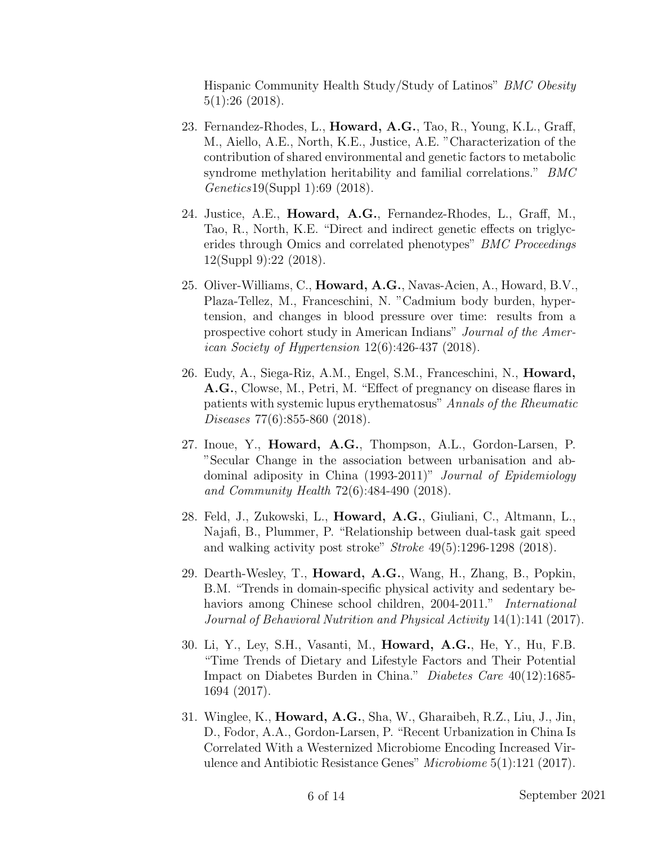Hispanic Community Health Study/Study of Latinos" BMC Obesity 5(1):26 (2018).

- 23. Fernandez-Rhodes, L., Howard, A.G., Tao, R., Young, K.L., Graff, M., Aiello, A.E., North, K.E., Justice, A.E. "Characterization of the contribution of shared environmental and genetic factors to metabolic syndrome methylation heritability and familial correlations." BMC Genetics19(Suppl 1):69 (2018).
- 24. Justice, A.E., Howard, A.G., Fernandez-Rhodes, L., Graff, M., Tao, R., North, K.E. "Direct and indirect genetic effects on triglycerides through Omics and correlated phenotypes" BMC Proceedings 12(Suppl 9):22 (2018).
- 25. Oliver-Williams, C., Howard, A.G., Navas-Acien, A., Howard, B.V., Plaza-Tellez, M., Franceschini, N. "Cadmium body burden, hypertension, and changes in blood pressure over time: results from a prospective cohort study in American Indians" Journal of the American Society of Hypertension 12(6):426-437 (2018).
- 26. Eudy, A., Siega-Riz, A.M., Engel, S.M., Franceschini, N., Howard, A.G., Clowse, M., Petri, M. "Effect of pregnancy on disease flares in patients with systemic lupus erythematosus" Annals of the Rheumatic Diseases 77(6):855-860 (2018).
- 27. Inoue, Y., Howard, A.G., Thompson, A.L., Gordon-Larsen, P. "Secular Change in the association between urbanisation and abdominal adiposity in China (1993-2011)" Journal of Epidemiology and Community Health 72(6):484-490 (2018).
- 28. Feld, J., Zukowski, L., Howard, A.G., Giuliani, C., Altmann, L., Najafi, B., Plummer, P. "Relationship between dual-task gait speed and walking activity post stroke"  $Stroke\ 49(5):1296-1298\ (2018).$
- 29. Dearth-Wesley, T., Howard, A.G., Wang, H., Zhang, B., Popkin, B.M. "Trends in domain-specific physical activity and sedentary behaviors among Chinese school children, 2004-2011." *International* Journal of Behavioral Nutrition and Physical Activity 14(1):141 (2017).
- 30. Li, Y., Ley, S.H., Vasanti, M., Howard, A.G., He, Y., Hu, F.B. "Time Trends of Dietary and Lifestyle Factors and Their Potential Impact on Diabetes Burden in China." Diabetes Care 40(12):1685- 1694 (2017).
- 31. Winglee, K., Howard, A.G., Sha, W., Gharaibeh, R.Z., Liu, J., Jin, D., Fodor, A.A., Gordon-Larsen, P. "Recent Urbanization in China Is Correlated With a Westernized Microbiome Encoding Increased Virulence and Antibiotic Resistance Genes" Microbiome 5(1):121 (2017).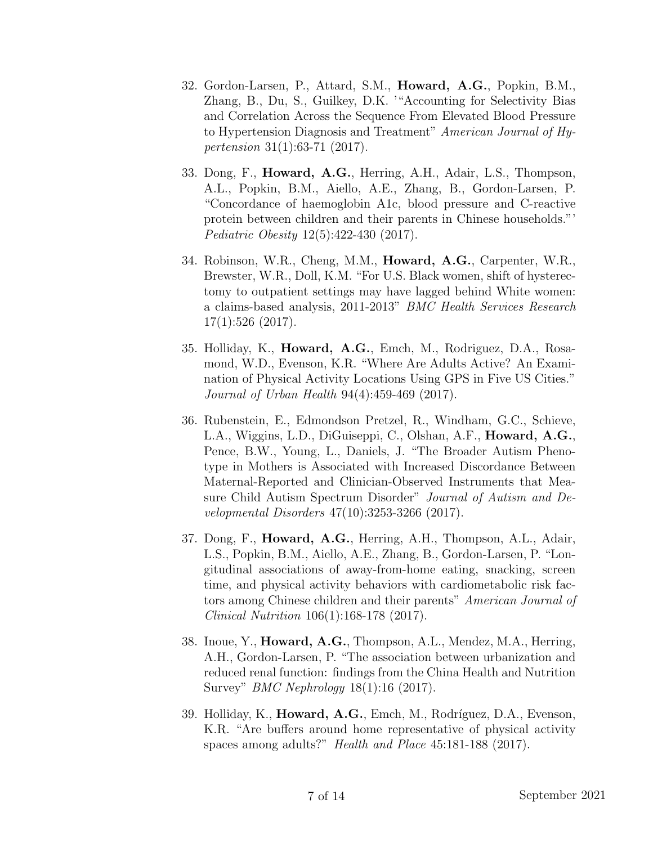- 32. Gordon-Larsen, P., Attard, S.M., Howard, A.G., Popkin, B.M., Zhang, B., Du, S., Guilkey, D.K. '"Accounting for Selectivity Bias and Correlation Across the Sequence From Elevated Blood Pressure to Hypertension Diagnosis and Treatment" American Journal of Hypertension 31(1):63-71 (2017).
- 33. Dong, F., Howard, A.G., Herring, A.H., Adair, L.S., Thompson, A.L., Popkin, B.M., Aiello, A.E., Zhang, B., Gordon-Larsen, P. "Concordance of haemoglobin A1c, blood pressure and C-reactive protein between children and their parents in Chinese households."' Pediatric Obesity 12(5):422-430 (2017).
- 34. Robinson, W.R., Cheng, M.M., Howard, A.G., Carpenter, W.R., Brewster, W.R., Doll, K.M. "For U.S. Black women, shift of hysterectomy to outpatient settings may have lagged behind White women: a claims-based analysis, 2011-2013" BMC Health Services Research 17(1):526 (2017).
- 35. Holliday, K., Howard, A.G., Emch, M., Rodriguez, D.A., Rosamond, W.D., Evenson, K.R. "Where Are Adults Active? An Examination of Physical Activity Locations Using GPS in Five US Cities." Journal of Urban Health 94(4):459-469 (2017).
- 36. Rubenstein, E., Edmondson Pretzel, R., Windham, G.C., Schieve, L.A., Wiggins, L.D., DiGuiseppi, C., Olshan, A.F., Howard, A.G., Pence, B.W., Young, L., Daniels, J. "The Broader Autism Phenotype in Mothers is Associated with Increased Discordance Between Maternal-Reported and Clinician-Observed Instruments that Measure Child Autism Spectrum Disorder" Journal of Autism and Developmental Disorders 47(10):3253-3266 (2017).
- 37. Dong, F., Howard, A.G., Herring, A.H., Thompson, A.L., Adair, L.S., Popkin, B.M., Aiello, A.E., Zhang, B., Gordon-Larsen, P. "Longitudinal associations of away-from-home eating, snacking, screen time, and physical activity behaviors with cardiometabolic risk factors among Chinese children and their parents" American Journal of Clinical Nutrition 106(1):168-178 (2017).
- 38. Inoue, Y., Howard, A.G., Thompson, A.L., Mendez, M.A., Herring, A.H., Gordon-Larsen, P. "The association between urbanization and reduced renal function: findings from the China Health and Nutrition Survey" BMC Nephrology 18(1):16 (2017).
- 39. Holliday, K., **Howard, A.G.**, Emch, M., Rodríguez, D.A., Evenson, K.R. "Are buffers around home representative of physical activity spaces among adults?" Health and Place 45:181-188 (2017).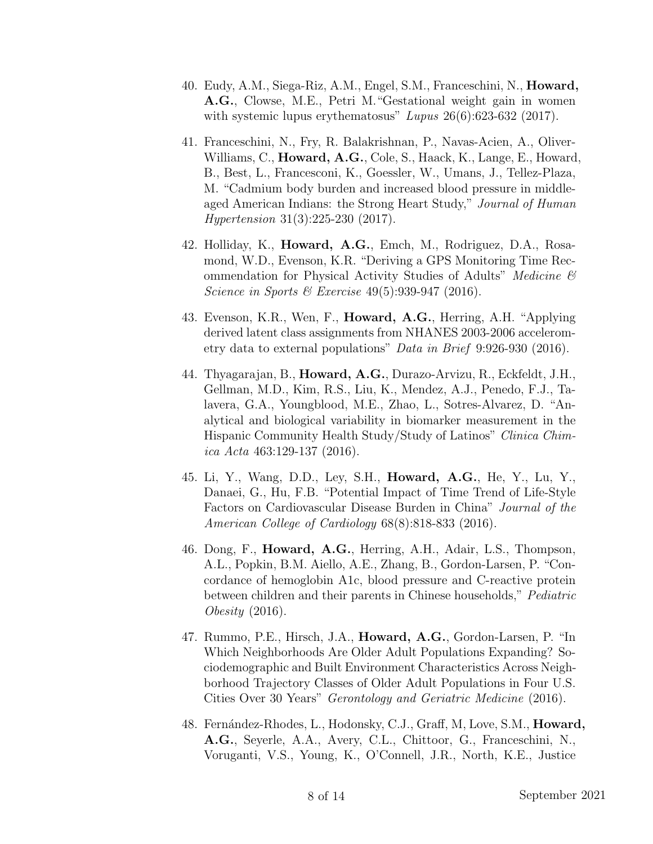- 40. Eudy, A.M., Siega-Riz, A.M., Engel, S.M., Franceschini, N., Howard, A.G., Clowse, M.E., Petri M."Gestational weight gain in women with systemic lupus erythematosus"  $Lupus 26(6):623-632(2017)$ .
- 41. Franceschini, N., Fry, R. Balakrishnan, P., Navas-Acien, A., Oliver-Williams, C., **Howard, A.G.**, Cole, S., Haack, K., Lange, E., Howard, B., Best, L., Francesconi, K., Goessler, W., Umans, J., Tellez-Plaza, M. "Cadmium body burden and increased blood pressure in middleaged American Indians: the Strong Heart Study," Journal of Human Hypertension 31(3):225-230 (2017).
- 42. Holliday, K., Howard, A.G., Emch, M., Rodriguez, D.A., Rosamond, W.D., Evenson, K.R. "Deriving a GPS Monitoring Time Recommendation for Physical Activity Studies of Adults" Medicine & Science in Sports & Exercise  $49(5):939-947$  (2016).
- 43. Evenson, K.R., Wen, F., Howard, A.G., Herring, A.H. "Applying derived latent class assignments from NHANES 2003-2006 accelerometry data to external populations" Data in Brief 9:926-930 (2016).
- 44. Thyagarajan, B., Howard, A.G., Durazo-Arvizu, R., Eckfeldt, J.H., Gellman, M.D., Kim, R.S., Liu, K., Mendez, A.J., Penedo, F.J., Talavera, G.A., Youngblood, M.E., Zhao, L., Sotres-Alvarez, D. "Analytical and biological variability in biomarker measurement in the Hispanic Community Health Study/Study of Latinos" Clinica Chimica Acta 463:129-137 (2016).
- 45. Li, Y., Wang, D.D., Ley, S.H., Howard, A.G., He, Y., Lu, Y., Danaei, G., Hu, F.B. "Potential Impact of Time Trend of Life-Style Factors on Cardiovascular Disease Burden in China" Journal of the American College of Cardiology 68(8):818-833 (2016).
- 46. Dong, F., Howard, A.G., Herring, A.H., Adair, L.S., Thompson, A.L., Popkin, B.M. Aiello, A.E., Zhang, B., Gordon-Larsen, P. "Concordance of hemoglobin A1c, blood pressure and C-reactive protein between children and their parents in Chinese households," *Pediatric* Obesity (2016).
- 47. Rummo, P.E., Hirsch, J.A., Howard, A.G., Gordon-Larsen, P. "In Which Neighborhoods Are Older Adult Populations Expanding? Sociodemographic and Built Environment Characteristics Across Neighborhood Trajectory Classes of Older Adult Populations in Four U.S. Cities Over 30 Years" Gerontology and Geriatric Medicine (2016).
- 48. Fernández-Rhodes, L., Hodonsky, C.J., Graff, M, Love, S.M., **Howard,** A.G., Seyerle, A.A., Avery, C.L., Chittoor, G., Franceschini, N., Voruganti, V.S., Young, K., O'Connell, J.R., North, K.E., Justice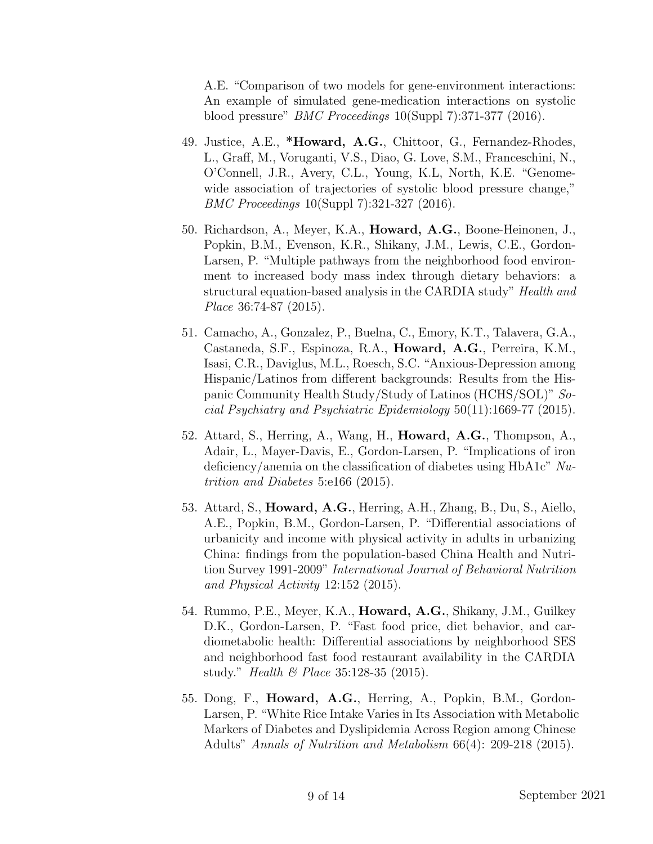A.E. "Comparison of two models for gene-environment interactions: An example of simulated gene-medication interactions on systolic blood pressure" BMC Proceedings 10(Suppl 7):371-377 (2016).

- 49. Justice, A.E., \*Howard, A.G., Chittoor, G., Fernandez-Rhodes, L., Graff, M., Voruganti, V.S., Diao, G. Love, S.M., Franceschini, N., O'Connell, J.R., Avery, C.L., Young, K.L, North, K.E. "Genomewide association of trajectories of systolic blood pressure change," BMC Proceedings 10(Suppl 7):321-327 (2016).
- 50. Richardson, A., Meyer, K.A., Howard, A.G., Boone-Heinonen, J., Popkin, B.M., Evenson, K.R., Shikany, J.M., Lewis, C.E., Gordon-Larsen, P. "Multiple pathways from the neighborhood food environment to increased body mass index through dietary behaviors: a structural equation-based analysis in the CARDIA study" Health and Place 36:74-87 (2015).
- 51. Camacho, A., Gonzalez, P., Buelna, C., Emory, K.T., Talavera, G.A., Castaneda, S.F., Espinoza, R.A., Howard, A.G., Perreira, K.M., Isasi, C.R., Daviglus, M.L., Roesch, S.C. "Anxious-Depression among Hispanic/Latinos from different backgrounds: Results from the Hispanic Community Health Study/Study of Latinos (HCHS/SOL)" Social Psychiatry and Psychiatric Epidemiology 50(11):1669-77 (2015).
- 52. Attard, S., Herring, A., Wang, H., Howard, A.G., Thompson, A., Adair, L., Mayer-Davis, E., Gordon-Larsen, P. "Implications of iron deficiency/anemia on the classification of diabetes using  $HbA1c''$  Nutrition and Diabetes 5:e166 (2015).
- 53. Attard, S., Howard, A.G., Herring, A.H., Zhang, B., Du, S., Aiello, A.E., Popkin, B.M., Gordon-Larsen, P. "Differential associations of urbanicity and income with physical activity in adults in urbanizing China: findings from the population-based China Health and Nutrition Survey 1991-2009" International Journal of Behavioral Nutrition and Physical Activity 12:152 (2015).
- 54. Rummo, P.E., Meyer, K.A., Howard, A.G., Shikany, J.M., Guilkey D.K., Gordon-Larsen, P. "Fast food price, diet behavior, and cardiometabolic health: Differential associations by neighborhood SES and neighborhood fast food restaurant availability in the CARDIA study." *Health & Place* 35:128-35 (2015).
- 55. Dong, F., Howard, A.G., Herring, A., Popkin, B.M., Gordon-Larsen, P. "White Rice Intake Varies in Its Association with Metabolic Markers of Diabetes and Dyslipidemia Across Region among Chinese Adults" Annals of Nutrition and Metabolism 66(4): 209-218 (2015).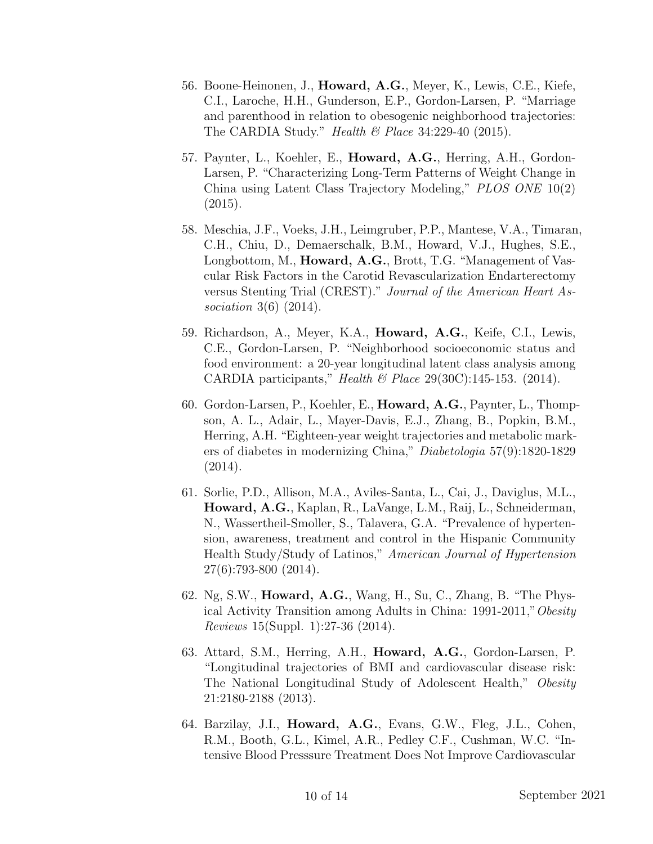- 56. Boone-Heinonen, J., Howard, A.G., Meyer, K., Lewis, C.E., Kiefe, C.I., Laroche, H.H., Gunderson, E.P., Gordon-Larsen, P. "Marriage and parenthood in relation to obesogenic neighborhood trajectories: The CARDIA Study." Health  $\mathcal B$  Place 34:229-40 (2015).
- 57. Paynter, L., Koehler, E., Howard, A.G., Herring, A.H., Gordon-Larsen, P. "Characterizing Long-Term Patterns of Weight Change in China using Latent Class Trajectory Modeling," PLOS ONE 10(2) (2015).
- 58. Meschia, J.F., Voeks, J.H., Leimgruber, P.P., Mantese, V.A., Timaran, C.H., Chiu, D., Demaerschalk, B.M., Howard, V.J., Hughes, S.E., Longbottom, M., **Howard, A.G.**, Brott, T.G. "Management of Vascular Risk Factors in the Carotid Revascularization Endarterectomy versus Stenting Trial (CREST)." Journal of the American Heart Association 3(6) (2014).
- 59. Richardson, A., Meyer, K.A., Howard, A.G., Keife, C.I., Lewis, C.E., Gordon-Larsen, P. "Neighborhood socioeconomic status and food environment: a 20-year longitudinal latent class analysis among CARDIA participants," Health & Place  $29(30C)$ :145-153. (2014).
- 60. Gordon-Larsen, P., Koehler, E., Howard, A.G., Paynter, L., Thompson, A. L., Adair, L., Mayer-Davis, E.J., Zhang, B., Popkin, B.M., Herring, A.H. "Eighteen-year weight trajectories and metabolic markers of diabetes in modernizing China," Diabetologia 57(9):1820-1829 (2014).
- 61. Sorlie, P.D., Allison, M.A., Aviles-Santa, L., Cai, J., Daviglus, M.L., Howard, A.G., Kaplan, R., LaVange, L.M., Raij, L., Schneiderman, N., Wassertheil-Smoller, S., Talavera, G.A. "Prevalence of hypertension, awareness, treatment and control in the Hispanic Community Health Study/Study of Latinos," American Journal of Hypertension 27(6):793-800 (2014).
- 62. Ng, S.W., Howard, A.G., Wang, H., Su, C., Zhang, B. "The Physical Activity Transition among Adults in China: 1991-2011,"Obesity Reviews 15(Suppl. 1):27-36 (2014).
- 63. Attard, S.M., Herring, A.H., Howard, A.G., Gordon-Larsen, P. "Longitudinal trajectories of BMI and cardiovascular disease risk: The National Longitudinal Study of Adolescent Health," Obesity 21:2180-2188 (2013).
- 64. Barzilay, J.I., Howard, A.G., Evans, G.W., Fleg, J.L., Cohen, R.M., Booth, G.L., Kimel, A.R., Pedley C.F., Cushman, W.C. "Intensive Blood Presssure Treatment Does Not Improve Cardiovascular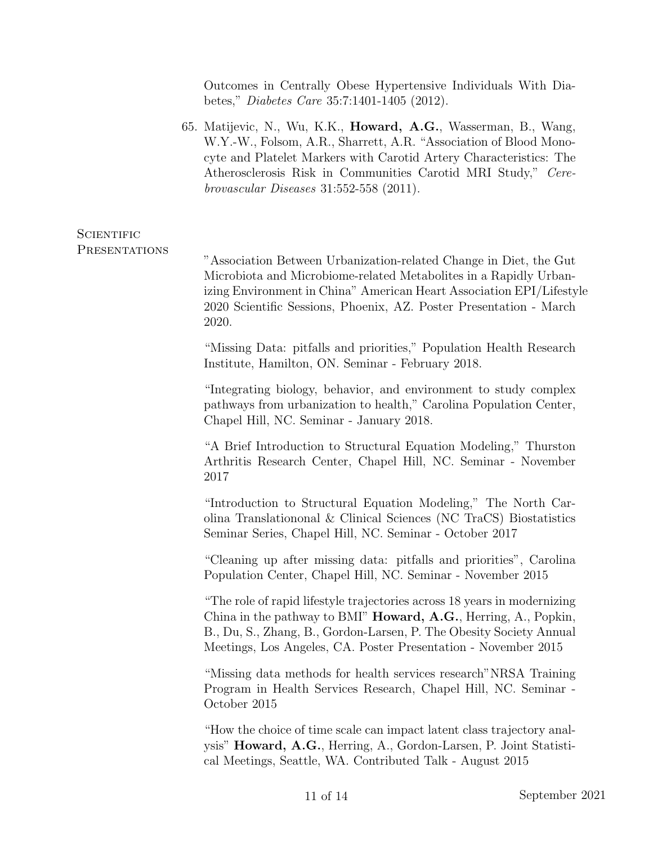Outcomes in Centrally Obese Hypertensive Individuals With Diabetes," Diabetes Care 35:7:1401-1405 (2012).

65. Matijevic, N., Wu, K.K., Howard, A.G., Wasserman, B., Wang, W.Y.-W., Folsom, A.R., Sharrett, A.R. "Association of Blood Monocyte and Platelet Markers with Carotid Artery Characteristics: The Atherosclerosis Risk in Communities Carotid MRI Study," Cerebrovascular Diseases 31:552-558 (2011).

## **SCIENTIFIC PRESENTATIONS** "Association Between Urbanization-related Change in Diet, the Gut Microbiota and Microbiome-related Metabolites in a Rapidly Urbanizing Environment in China" American Heart Association EPI/Lifestyle 2020 Scientific Sessions, Phoenix, AZ. Poster Presentation - March 2020.

"Missing Data: pitfalls and priorities," Population Health Research Institute, Hamilton, ON. Seminar - February 2018.

"Integrating biology, behavior, and environment to study complex pathways from urbanization to health," Carolina Population Center, Chapel Hill, NC. Seminar - January 2018.

"A Brief Introduction to Structural Equation Modeling," Thurston Arthritis Research Center, Chapel Hill, NC. Seminar - November 2017

"Introduction to Structural Equation Modeling," The North Carolina Translationonal & Clinical Sciences (NC TraCS) Biostatistics Seminar Series, Chapel Hill, NC. Seminar - October 2017

"Cleaning up after missing data: pitfalls and priorities", Carolina Population Center, Chapel Hill, NC. Seminar - November 2015

"The role of rapid lifestyle trajectories across 18 years in modernizing China in the pathway to BMI" Howard, A.G., Herring, A., Popkin, B., Du, S., Zhang, B., Gordon-Larsen, P. The Obesity Society Annual Meetings, Los Angeles, CA. Poster Presentation - November 2015

"Missing data methods for health services research"NRSA Training Program in Health Services Research, Chapel Hill, NC. Seminar - October 2015

"How the choice of time scale can impact latent class trajectory analysis" Howard, A.G., Herring, A., Gordon-Larsen, P. Joint Statistical Meetings, Seattle, WA. Contributed Talk - August 2015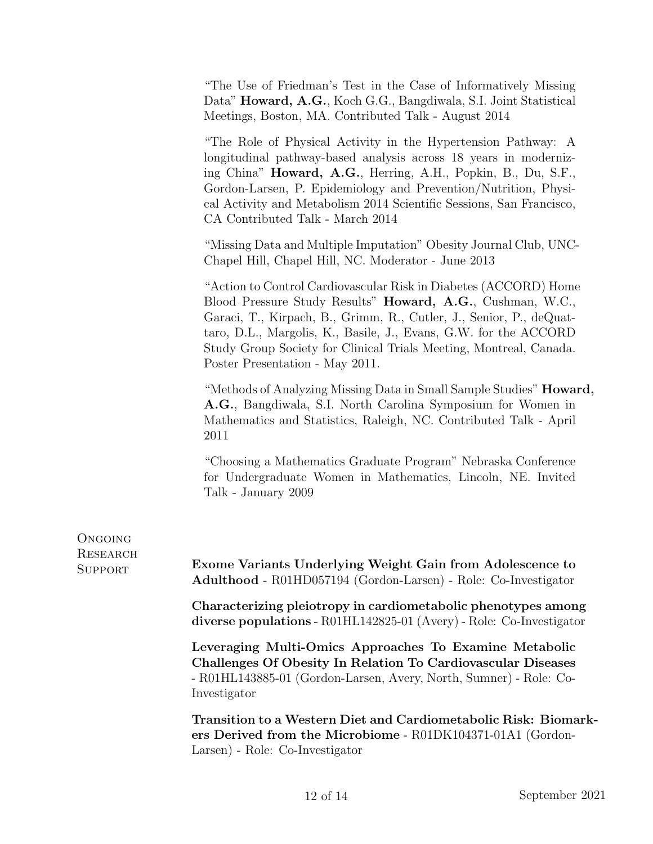"The Use of Friedman's Test in the Case of Informatively Missing Data" Howard, A.G., Koch G.G., Bangdiwala, S.I. Joint Statistical Meetings, Boston, MA. Contributed Talk - August 2014

"The Role of Physical Activity in the Hypertension Pathway: A longitudinal pathway-based analysis across 18 years in modernizing China" Howard, A.G., Herring, A.H., Popkin, B., Du, S.F., Gordon-Larsen, P. Epidemiology and Prevention/Nutrition, Physical Activity and Metabolism 2014 Scientific Sessions, San Francisco, CA Contributed Talk - March 2014

"Missing Data and Multiple Imputation" Obesity Journal Club, UNC-Chapel Hill, Chapel Hill, NC. Moderator - June 2013

"Action to Control Cardiovascular Risk in Diabetes (ACCORD) Home Blood Pressure Study Results" Howard, A.G., Cushman, W.C., Garaci, T., Kirpach, B., Grimm, R., Cutler, J., Senior, P., deQuattaro, D.L., Margolis, K., Basile, J., Evans, G.W. for the ACCORD Study Group Society for Clinical Trials Meeting, Montreal, Canada. Poster Presentation - May 2011.

"Methods of Analyzing Missing Data in Small Sample Studies" Howard, A.G., Bangdiwala, S.I. North Carolina Symposium for Women in Mathematics and Statistics, Raleigh, NC. Contributed Talk - April 2011

"Choosing a Mathematics Graduate Program" Nebraska Conference for Undergraduate Women in Mathematics, Lincoln, NE. Invited Talk - January 2009

| ONGOING<br>RESEARCH<br>SUPPORT | Exome Variants Underlying Weight Gain from Adolescence to<br>Adulthood - R01HD057194 (Gordon-Larsen) - Role: Co-Investigator                                                                                 |
|--------------------------------|--------------------------------------------------------------------------------------------------------------------------------------------------------------------------------------------------------------|
|                                | Characterizing pleiotropy in cardiometabolic phenotypes among<br>diverse populations - R01HL142825-01 (Avery) - Role: Co-Investigator                                                                        |
|                                | Leveraging Multi-Omics Approaches To Examine Metabolic<br>Challenges Of Obesity In Relation To Cardiovascular Diseases<br>- R01HL143885-01 (Gordon-Larsen, Avery, North, Sumner) - Role: Co-<br>Investigator |
|                                | Transition to a Western Diet and Cardiometabolic Risk: Biomark-<br>ers Derived from the Microbiome - R01DK104371-01A1 (Gordon-<br>Larsen) - Role: Co-Investigator                                            |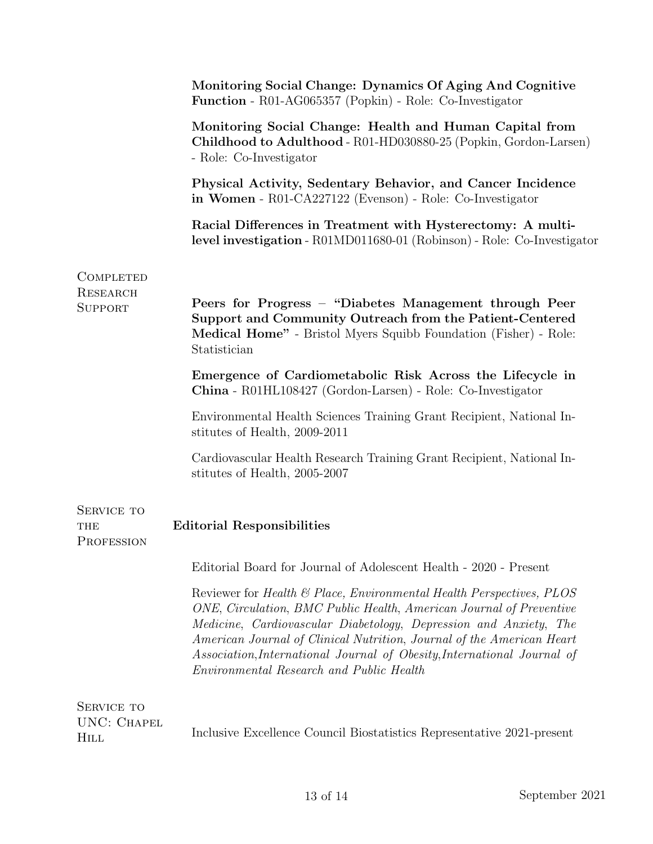|                                   | Monitoring Social Change: Dynamics Of Aging And Cognitive<br>Function - R01-AG065357 (Popkin) - Role: Co-Investigator                                                                                                                                                                                                                                                                                            |
|-----------------------------------|------------------------------------------------------------------------------------------------------------------------------------------------------------------------------------------------------------------------------------------------------------------------------------------------------------------------------------------------------------------------------------------------------------------|
|                                   | Monitoring Social Change: Health and Human Capital from<br>Childhood to Adulthood - R01-HD030880-25 (Popkin, Gordon-Larsen)<br>- Role: Co-Investigator                                                                                                                                                                                                                                                           |
|                                   | Physical Activity, Sedentary Behavior, and Cancer Incidence<br>in Women - R01-CA227122 (Evenson) - Role: Co-Investigator                                                                                                                                                                                                                                                                                         |
|                                   | Racial Differences in Treatment with Hysterectomy: A multi-<br>level investigation - R01MD011680-01 (Robinson) - Role: Co-Investigator                                                                                                                                                                                                                                                                           |
| COMPLETED<br>RESEARCH<br>SUPPORT  | Peers for Progress - "Diabetes Management through Peer<br>Support and Community Outreach from the Patient-Centered<br>Medical Home" - Bristol Myers Squibb Foundation (Fisher) - Role:<br>Statistician                                                                                                                                                                                                           |
|                                   | Emergence of Cardiometabolic Risk Across the Lifecycle in<br>China - R01HL108427 (Gordon-Larsen) - Role: Co-Investigator                                                                                                                                                                                                                                                                                         |
|                                   | Environmental Health Sciences Training Grant Recipient, National In-<br>stitutes of Health, 2009-2011                                                                                                                                                                                                                                                                                                            |
|                                   | Cardiovascular Health Research Training Grant Recipient, National In-<br>stitutes of Health, 2005-2007                                                                                                                                                                                                                                                                                                           |
| SERVICE TO<br>THE<br>PROFESSION   | <b>Editorial Responsibilities</b>                                                                                                                                                                                                                                                                                                                                                                                |
|                                   | Editorial Board for Journal of Adolescent Health - 2020 - Present                                                                                                                                                                                                                                                                                                                                                |
|                                   | Reviewer for Health & Place, Environmental Health Perspectives, PLOS<br>ONE, Circulation, BMC Public Health, American Journal of Preventive<br>Medicine, Cardiovascular Diabetology, Depression and Anxiety, The<br>American Journal of Clinical Nutrition, Journal of the American Heart<br>Association, International Journal of Obesity, International Journal of<br>Environmental Research and Public Health |
| SERVICE TO<br>UNC: CHAPEL<br>HILL | Inclusive Excellence Council Biostatistics Representative 2021-present                                                                                                                                                                                                                                                                                                                                           |